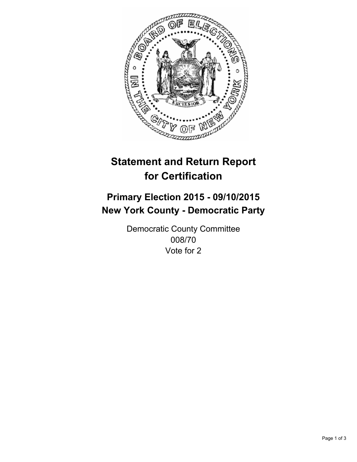

# **Statement and Return Report for Certification**

## **Primary Election 2015 - 09/10/2015 New York County - Democratic Party**

Democratic County Committee 008/70 Vote for 2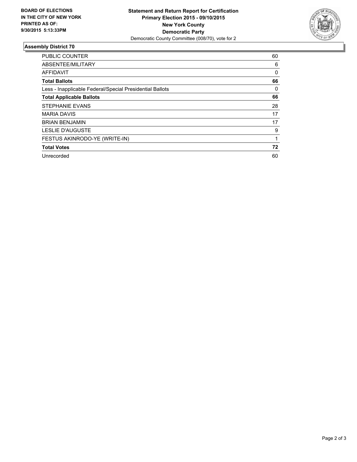

### **Assembly District 70**

| <b>PUBLIC COUNTER</b>                                    | 60       |
|----------------------------------------------------------|----------|
| ABSENTEE/MILITARY                                        | 6        |
| <b>AFFIDAVIT</b>                                         | $\Omega$ |
| <b>Total Ballots</b>                                     | 66       |
| Less - Inapplicable Federal/Special Presidential Ballots | 0        |
| <b>Total Applicable Ballots</b>                          | 66       |
| <b>STEPHANIE EVANS</b>                                   | 28       |
| <b>MARIA DAVIS</b>                                       | 17       |
| <b>BRIAN BENJAMIN</b>                                    | 17       |
| <b>LESLIE D'AUGUSTE</b>                                  | 9        |
| FESTUS AKINRODO-YE (WRITE-IN)                            |          |
| <b>Total Votes</b>                                       | 72       |
| Unrecorded                                               | 60       |